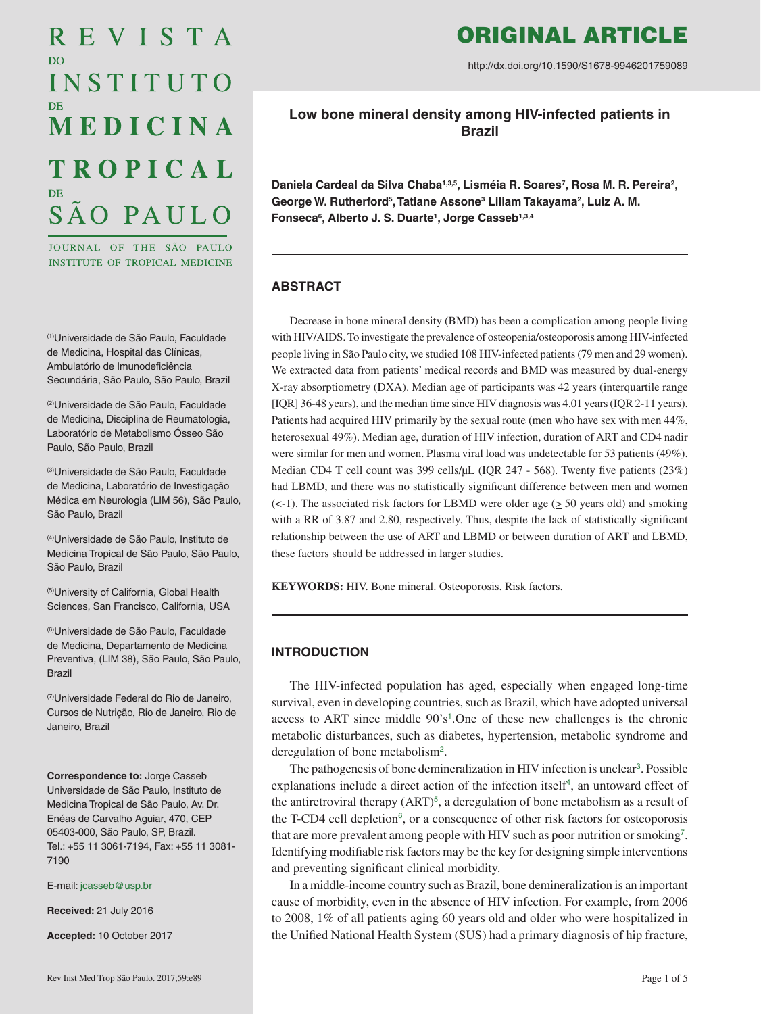# REVISTA D<sub>O</sub> INSTITUTO MEDICINA **TROPICAL** SÃO PAULO

JOURNAL OF THE SÃO PAULO INSTITUTE OF TROPICAL MEDICINE

(1)Universidade de São Paulo, Faculdade de Medicina, Hospital das Clínicas, Ambulatório de Imunodeficiência Secundária, São Paulo, São Paulo, Brazil

(2)Universidade de São Paulo, Faculdade de Medicina, Disciplina de Reumatologia, Laboratório de Metabolismo Ósseo São Paulo, São Paulo, Brazil

(3)Universidade de São Paulo, Faculdade de Medicina, Laboratório de Investigação Médica em Neurologia (LIM 56), São Paulo, São Paulo, Brazil

(4)Universidade de São Paulo, Instituto de Medicina Tropical de São Paulo, São Paulo, São Paulo, Brazil

(5)University of California, Global Health Sciences, San Francisco, California, USA

(6)Universidade de São Paulo, Faculdade de Medicina, Departamento de Medicina Preventiva, (LIM 38), São Paulo, São Paulo, Brazil

(7)Universidade Federal do Rio de Janeiro, Cursos de Nutrição, Rio de Janeiro, Rio de Janeiro, Brazil

**Correspondence to:** Jorge Casseb Universidade de São Paulo, Instituto de Medicina Tropical de São Paulo, Av. Dr. Enéas de Carvalho Aguiar, 470, CEP 05403-000, São Paulo, SP, Brazil. Tel.: +55 11 3061-7194, Fax: +55 11 3081- 7190

E-mail: [jcasseb@usp.br](mailto:jcasseb%40usp.br?subject=)

**Received:** 21 July 2016

**Accepted:** 10 October 2017

# ORIGINAL ARTICLE

http://dx.doi.org/10.1590/S1678-9946201759089

**Low bone mineral density among HIV-infected patients in Brazil**

Daniela Cardeal da Silva Chaba<sup>1,3,5</sup>, Lisméia R. Soares<sup>7</sup>, Rosa M. R. Pereira<sup>2</sup>, George W. Rutherford<sup>5</sup>, Tatiane Assone<sup>3</sup> Liliam Takayama<sup>2</sup>, Luiz A. M. **Fonseca6 , Alberto J. S. Duarte1 , Jorge Casseb1,3,4**

# **ABSTRACT**

Decrease in bone mineral density (BMD) has been a complication among people living with HIV/AIDS. To investigate the prevalence of osteopenia/osteoporosis among HIV-infected people living in São Paulo city, we studied 108 HIV-infected patients (79 men and 29 women). We extracted data from patients' medical records and BMD was measured by dual-energy X-ray absorptiometry (DXA). Median age of participants was 42 years (interquartile range [IQR] 36-48 years), and the median time since HIV diagnosis was 4.01 years (IQR 2-11 years). Patients had acquired HIV primarily by the sexual route (men who have sex with men 44%, heterosexual 49%). Median age, duration of HIV infection, duration of ART and CD4 nadir were similar for men and women. Plasma viral load was undetectable for 53 patients (49%). Median CD4 T cell count was 399 cells/µL (IOR 247 - 568). Twenty five patients (23%) had LBMD, and there was no statistically significant difference between men and women  $(<-1$ ). The associated risk factors for LBMD were older age  $(≥ 50$  years old) and smoking with a RR of 3.87 and 2.80, respectively. Thus, despite the lack of statistically significant relationship between the use of ART and LBMD or between duration of ART and LBMD, these factors should be addressed in larger studies.

**KEYWORDS:** HIV. Bone mineral. Osteoporosis. Risk factors.

# **INTRODUCTION**

<span id="page-0-0"></span>The HIV-infected population has aged, especially when engaged long-time survival, even in developing countries, such as Brazil, which have adopted universal access to ART since middle  $90's<sup>1</sup>$  $90's<sup>1</sup>$  $90's<sup>1</sup>$ . One of these new challenges is the chronic metabolic disturbances, such as diabetes, hypertension, metabolic syndrome and deregulation of bone metabolism<sup>[2](#page-3-0)</sup>.

<span id="page-0-5"></span><span id="page-0-4"></span><span id="page-0-3"></span><span id="page-0-2"></span><span id="page-0-1"></span>The pathogenesis of bone demineralization in HIV infection is unclear<sup>[3](#page-3-0)</sup>. Possible explanations include a direct action of the infection itself<sup>[4](#page-4-0)</sup>, an untoward effect of the antiretroviral therapy  $(ART)^5$  $(ART)^5$ , a deregulation of bone metabolism as a result of the T-CD4 cell depletion<sup>[6](#page-4-0)</sup>, or a consequence of other risk factors for osteoporosis that are more prevalent among people with HIV such as poor nutrition or smoking[7](#page-4-0) . Identifying modifiable risk factors may be the key for designing simple interventions and preventing significant clinical morbidity.

<span id="page-0-6"></span>In a middle-income country such as Brazil, bone demineralization is an important cause of morbidity, even in the absence of HIV infection. For example, from 2006 to 2008, 1% of all patients aging 60 years old and older who were hospitalized in the Unified National Health System (SUS) had a primary diagnosis of hip fracture,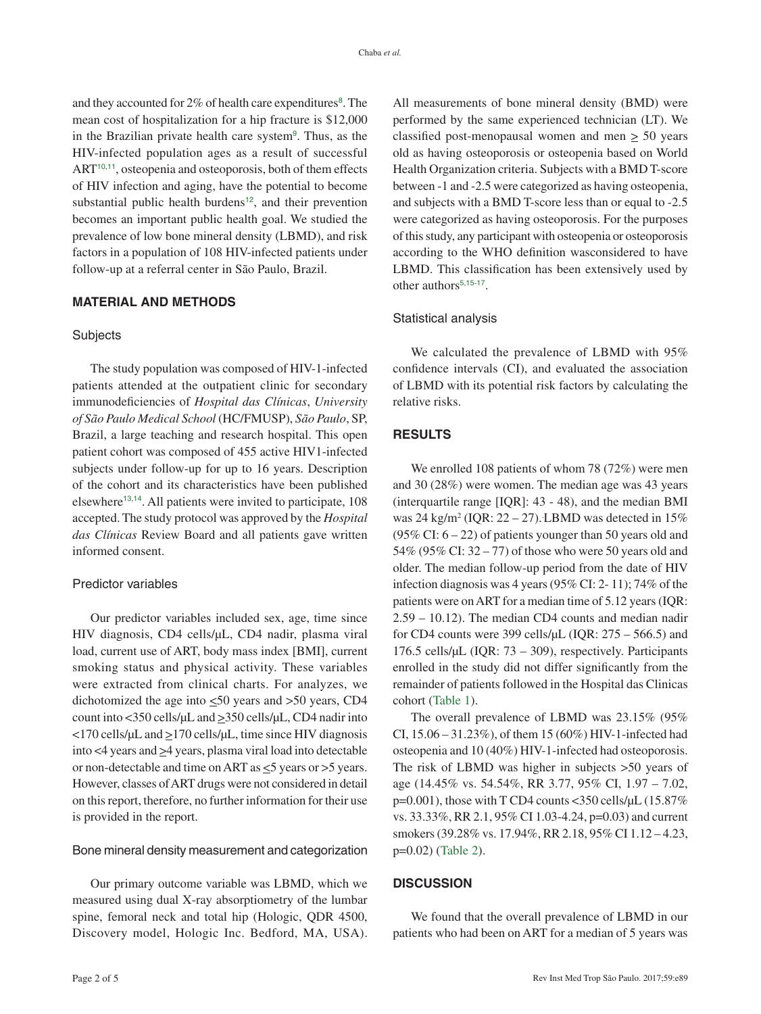<span id="page-1-6"></span><span id="page-1-5"></span><span id="page-1-4"></span><span id="page-1-3"></span><span id="page-1-2"></span>and they accounted for 2% of health care expenditures<sup>[8](#page-4-0)</sup>. The mean cost of hospitalization for a hip fracture is \$12,000 in the Brazilian private health care system<sup>[9](#page-4-0)</sup>. Thus, as the HIV-infected population ages as a result of successful ART<sup>[10](#page-4-0),[11](#page-4-0)</sup>, osteopenia and osteoporosis, both of them effects of HIV infection and aging, have the potential to become substantial public health burdens<sup>[12](#page-4-0)</sup>, and their prevention becomes an important public health goal. We studied the prevalence of low bone mineral density (LBMD), and risk factors in a population of 108 HIV-infected patients under follow-up at a referral center in São Paulo, Brazil.

# **MATERIAL AND METHODS**

#### **Subjects**

The study population was composed of HIV-1-infected patients attended at the outpatient clinic for secondary immunodeficiencies of *Hospital das Clínicas*, *University of São Paulo Medical School* (HC/FMUSP), *São Paulo*, SP, Brazil, a large teaching and research hospital. This open patient cohort was composed of 455 active HIV1-infected subjects under follow-up for up to 16 years. Description of the cohort and its characteristics have been published elsewhere<sup>[13](#page-4-0),[14](#page-4-0)</sup>. All patients were invited to participate, 108 accepted. The study protocol was approved by the *Hospital das Clínicas* Review Board and all patients gave written informed consent.

#### <span id="page-1-8"></span><span id="page-1-7"></span>Predictor variables

Our predictor variables included sex, age, time since HIV diagnosis, CD4 cells/µL, CD4 nadir, plasma viral load, current use of ART, body mass index [BMI], current smoking status and physical activity. These variables were extracted from clinical charts. For analyzes, we dichotomized the age into  $\leq 50$  years and  $> 50$  years, CD4 count into <350 cells/µL and >350 cells/µL, CD4 nadir into  $\langle$ 170 cells/ $\mu$ L and  $\geq$ 170 cells/ $\mu$ L, time since HIV diagnosis into  $\leq 4$  years and  $\geq 4$  years, plasma viral load into detectable or non-detectable and time on ART as  $\leq$ 5 years or >5 years. However, classes of ART drugs were not considered in detail on this report, therefore, no further information for their use is provided in the report.

#### Bone mineral density measurement and categorization

Our primary outcome variable was LBMD, which we measured using dual X-ray absorptiometry of the lumbar spine, femoral neck and total hip (Hologic, QDR 4500, Discovery model, Hologic Inc. Bedford, MA, USA).

All measurements of bone mineral density (BMD) were performed by the same experienced technician (LT). We classified post-menopausal women and men  $\geq$  50 years old as having osteoporosis or osteopenia based on World Health Organization criteria. Subjects with a BMD T-score between -1 and -2.5 were categorized as having osteopenia, and subjects with a BMD T-score less than or equal to -2.5 were categorized as having osteoporosis. For the purposes of this study, any participant with osteopenia or osteoporosis according to the WHO definition wasconsidered to have LBMD. This classification has been extensively used by other authors<sup>[5](#page-4-0),[15](#page-4-0)-[17](#page-4-0)</sup>.

#### <span id="page-1-10"></span><span id="page-1-9"></span>Statistical analysis

We calculated the prevalence of LBMD with 95% confidence intervals (CI), and evaluated the association of LBMD with its potential risk factors by calculating the relative risks.

#### **RESULTS**

We enrolled 108 patients of whom 78 (72%) were men and 30 (28%) were women. The median age was 43 years (interquartile range [IQR]: 43 - 48), and the median BMI was 24 kg/m<sup>2</sup> (IQR:  $22 - 27$ ). LBMD was detected in 15% (95% CI:  $6 - 22$ ) of patients younger than 50 years old and 54% (95% CI: 32 – 77) of those who were 50 years old and older. The median follow-up period from the date of HIV infection diagnosis was 4 years (95% CI: 2- 11); 74% of the patients were on ART for a median time of 5.12 years (IQR: 2.59 – 10.12). The median CD4 counts and median nadir for CD4 counts were 399 cells/ $\mu$ L (IQR: 275 – 566.5) and 176.5 cells/µL (IQR: 73 – 309), respectively. Participants enrolled in the study did not differ significantly from the remainder of patients followed in the Hospital das Clinicas cohort ([Table 1](#page-2-0)).

<span id="page-1-0"></span>The overall prevalence of LBMD was 23.15% (95% CI, 15.06 – 31.23%), of them 15 (60%) HIV-1-infected had osteopenia and 10 (40%) HIV-1-infected had osteoporosis. The risk of LBMD was higher in subjects >50 years of age (14.45% vs. 54.54%, RR 3.77, 95% CI, 1.97 – 7.02,  $p=0.001$ ), those with T CD4 counts <350 cells/ $\mu$ L (15.87%) vs. 33.33%, RR 2.1, 95% CI 1.03-4.24, p=0.03) and current smokers (39.28% vs. 17.94%, RR 2.18, 95% CI 1.12 – 4.23, p=0.02) ([Table 2](#page-3-0)).

### <span id="page-1-1"></span>**DISCUSSION**

We found that the overall prevalence of LBMD in our patients who had been on ART for a median of 5 years was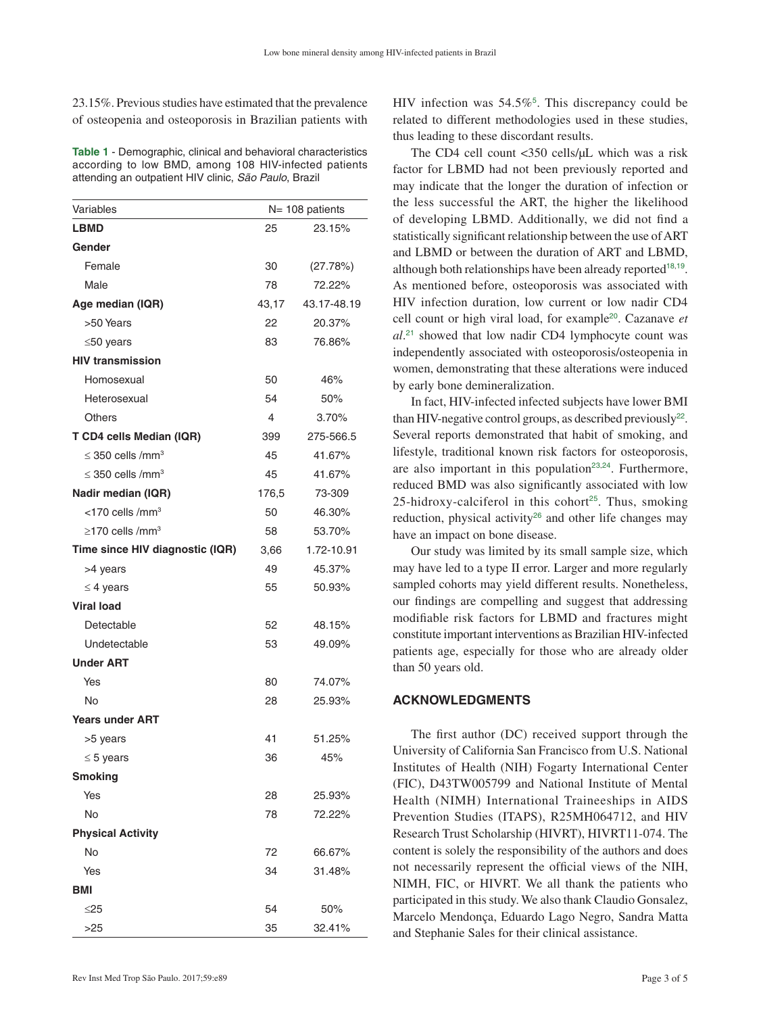<span id="page-2-0"></span>23.15%. Previous studies have estimated that the prevalence of osteopenia and osteoporosis in Brazilian patients with

**Table 1** - Demographic, clinical and behavioral characteristics [according to low BMD, among 108 HIV-infected patients](#page-1-0)  attending an outpatient HIV clinic, *São Paulo*, Brazil

| Variables                         | $N = 108$ patients |             |  |
|-----------------------------------|--------------------|-------------|--|
| <b>LBMD</b>                       | 25                 | 23.15%      |  |
| Gender                            |                    |             |  |
| Female                            | 30                 | (27.78%)    |  |
| Male                              | 78                 | 72.22%      |  |
| Age median (IQR)                  | 43,17              | 43.17-48.19 |  |
| >50 Years                         | 22                 | 20.37%      |  |
| $\leq 50$ years                   | 83                 | 76.86%      |  |
| <b>HIV transmission</b>           |                    |             |  |
| Homosexual                        | 50                 | 46%         |  |
| Heterosexual                      | 54                 | 50%         |  |
| <b>Others</b>                     | 4                  | 3.70%       |  |
| T CD4 cells Median (IQR)          | 399                | 275-566.5   |  |
| $\leq$ 350 cells /mm <sup>3</sup> | 45                 | 41.67%      |  |
| $\leq$ 350 cells /mm <sup>3</sup> | 45                 | 41.67%      |  |
| Nadir median (IQR)                | 176,5              | 73-309      |  |
| <170 cells /mm <sup>3</sup>       | 50                 | 46.30%      |  |
| $\geq$ 170 cells /mm <sup>3</sup> | 58                 | 53.70%      |  |
| Time since HIV diagnostic (IQR)   | 3,66               | 1.72-10.91  |  |
| >4 years                          | 49                 | 45.37%      |  |
| $\leq$ 4 years                    | 55                 | 50.93%      |  |
| <b>Viral load</b>                 |                    |             |  |
| Detectable                        | 52                 | 48.15%      |  |
| Undetectable                      | 53                 | 49.09%      |  |
| <b>Under ART</b>                  |                    |             |  |
| Yes                               | 80                 | 74.07%      |  |
| No                                | 28                 | 25.93%      |  |
| <b>Years under ART</b>            |                    |             |  |
| >5 years                          | 41                 | 51.25%      |  |
| $\leq$ 5 years                    | 36                 | 45%         |  |
| <b>Smoking</b>                    |                    |             |  |
| Yes                               | 28                 | 25.93%      |  |
| No                                | 78                 | 72.22%      |  |
| <b>Physical Activity</b>          |                    |             |  |
| No                                | 72                 | 66.67%      |  |
| Yes                               | 34                 | 31.48%      |  |
| BMI                               |                    |             |  |
| ≤25                               | 54                 | 50%         |  |
| >25                               | 35                 | 32.41%      |  |

HIV infection was  $54.5\%$  $54.5\%$ <sup>5</sup>. This discrepancy could be related to different methodologies used in these studies, thus leading to these discordant results.

<span id="page-2-2"></span><span id="page-2-1"></span>The CD4 cell count <350 cells/µL which was a risk factor for LBMD had not been previously reported and may indicate that the longer the duration of infection or the less successful the ART, the higher the likelihood of developing LBMD. Additionally, we did not find a statistically significant relationship between the use of ART and LBMD or between the duration of ART and LBMD, although both relationships have been already reported<sup>[18](#page-4-0),[19](#page-4-0)</sup>. As mentioned before, osteoporosis was associated with HIV infection duration, low current or low nadir CD4 cell count or high viral load, for example[20](#page-4-0). Cazanave *et al*. [21](#page-4-0) showed that low nadir CD4 lymphocyte count was independently associated with osteoporosis/osteopenia in women, demonstrating that these alterations were induced by early bone demineralization.

<span id="page-2-7"></span><span id="page-2-6"></span><span id="page-2-5"></span><span id="page-2-4"></span><span id="page-2-3"></span>In fact, HIV-infected infected subjects have lower BMI than HIV-negative control groups, as described previously<sup>[22](#page-4-0)</sup>. Several reports demonstrated that habit of smoking, and lifestyle, traditional known risk factors for osteoporosis, are also important in this population<sup>[23](#page-4-0),[24](#page-4-0)</sup>. Furthermore, reduced BMD was also significantly associated with low [25](#page-4-0)-hidroxy-calciferol in this cohort<sup>25</sup>. Thus, smoking reduction, physical activity<sup>[26](#page-4-0)</sup> and other life changes may have an impact on bone disease.

<span id="page-2-9"></span><span id="page-2-8"></span>Our study was limited by its small sample size, which may have led to a type II error. Larger and more regularly sampled cohorts may yield different results. Nonetheless, our findings are compelling and suggest that addressing modifiable risk factors for LBMD and fractures might constitute important interventions as Brazilian HIV-infected patients age, especially for those who are already older than 50 years old.

#### **ACKNOWLEDGMENTS**

The first author (DC) received support through the University of California San Francisco from U.S. National Institutes of Health (NIH) Fogarty International Center (FIC), D43TW005799 and National Institute of Mental Health (NIMH) International Traineeships in AIDS Prevention Studies (ITAPS), R25MH064712, and HIV Research Trust Scholarship (HIVRT), HIVRT11-074. The content is solely the responsibility of the authors and does not necessarily represent the official views of the NIH, NIMH, FIC, or HIVRT. We all thank the patients who participated in this study. We also thank Claudio Gonsalez, Marcelo Mendonça, Eduardo Lago Negro, Sandra Matta and Stephanie Sales for their clinical assistance.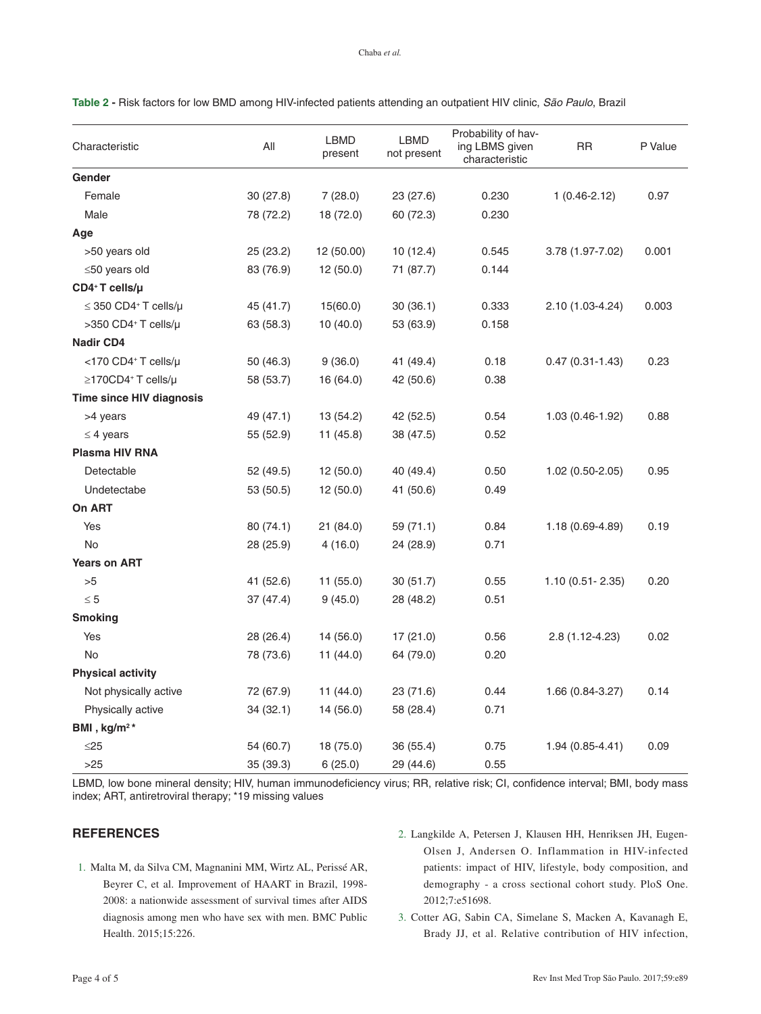| Characteristic                         | All       | <b>LBMD</b><br>present | <b>LBMD</b><br>not present | Probability of hav-<br>ing LBMS given<br>characteristic | RR                  | P Value |
|----------------------------------------|-----------|------------------------|----------------------------|---------------------------------------------------------|---------------------|---------|
| Gender                                 |           |                        |                            |                                                         |                     |         |
| Female                                 | 30(27.8)  | 7(28.0)                | 23 (27.6)                  | 0.230                                                   | $1(0.46-2.12)$      | 0.97    |
| Male                                   | 78 (72.2) | 18 (72.0)              | 60 (72.3)                  | 0.230                                                   |                     |         |
| Age                                    |           |                        |                            |                                                         |                     |         |
| >50 years old                          | 25(23.2)  | 12 (50.00)             | 10(12.4)                   | 0.545                                                   | 3.78 (1.97-7.02)    | 0.001   |
| $\leq$ 50 years old                    | 83 (76.9) | 12(50.0)               | 71 (87.7)                  | 0.144                                                   |                     |         |
| $CD4+T$ cells/ $\mu$                   |           |                        |                            |                                                         |                     |         |
| $\leq$ 350 CD4 <sup>+</sup> T cells/µ  | 45 (41.7) | 15(60.0)               | 30(36.1)                   | 0.333                                                   | 2.10 (1.03-4.24)    | 0.003   |
| $>350$ CD4 <sup>+</sup> T cells/ $\mu$ | 63 (58.3) | 10(40.0)               | 53 (63.9)                  | 0.158                                                   |                     |         |
| <b>Nadir CD4</b>                       |           |                        |                            |                                                         |                     |         |
| <170 CD4+ T cells/µ                    | 50 (46.3) | 9(36.0)                | 41 (49.4)                  | 0.18                                                    | $0.47(0.31 - 1.43)$ | 0.23    |
| $\geq$ 170CD4 <sup>+</sup> T cells/µ   | 58 (53.7) | 16 (64.0)              | 42 (50.6)                  | 0.38                                                    |                     |         |
| Time since HIV diagnosis               |           |                        |                            |                                                         |                     |         |
| >4 years                               | 49 (47.1) | 13 (54.2)              | 42 (52.5)                  | 0.54                                                    | 1.03 (0.46-1.92)    | 0.88    |
| $\leq$ 4 years                         | 55 (52.9) | 11 (45.8)              | 38 (47.5)                  | 0.52                                                    |                     |         |
| Plasma HIV RNA                         |           |                        |                            |                                                         |                     |         |
| Detectable                             | 52 (49.5) | 12 (50.0)              | 40 (49.4)                  | 0.50                                                    | $1.02(0.50-2.05)$   | 0.95    |
| Undetectabe                            | 53 (50.5) | 12 (50.0)              | 41 (50.6)                  | 0.49                                                    |                     |         |
| On ART                                 |           |                        |                            |                                                         |                     |         |
| Yes                                    | 80 (74.1) | 21 (84.0)              | 59 (71.1)                  | 0.84                                                    | 1.18 (0.69-4.89)    | 0.19    |
| No                                     | 28 (25.9) | 4(16.0)                | 24 (28.9)                  | 0.71                                                    |                     |         |
| <b>Years on ART</b>                    |           |                        |                            |                                                         |                     |         |
| >5                                     | 41 (52.6) | 11 (55.0)              | 30(51.7)                   | 0.55                                                    | $1.10(0.51 - 2.35)$ | 0.20    |
| $\leq 5$                               | 37(47.4)  | 9(45.0)                | 28 (48.2)                  | 0.51                                                    |                     |         |
| <b>Smoking</b>                         |           |                        |                            |                                                         |                     |         |
| Yes                                    | 28 (26.4) | 14 (56.0)              | 17 (21.0)                  | 0.56                                                    | 2.8 (1.12-4.23)     | 0.02    |
| No                                     | 78 (73.6) | 11 (44.0)              | 64 (79.0)                  | 0.20                                                    |                     |         |
| <b>Physical activity</b>               |           |                        |                            |                                                         |                     |         |
| Not physically active                  | 72 (67.9) | 11 (44.0)              | 23 (71.6)                  | 0.44                                                    | 1.66 (0.84-3.27)    | 0.14    |
| Physically active                      | 34(32.1)  | 14 (56.0)              | 58 (28.4)                  | 0.71                                                    |                     |         |
| BMI, kg/m <sup>2*</sup>                |           |                        |                            |                                                         |                     |         |
| $\leq$ 25                              | 54 (60.7) | 18 (75.0)              | 36 (55.4)                  | 0.75                                                    | 1.94 (0.85-4.41)    | 0.09    |
| >25                                    | 35 (39.3) | 6(25.0)                | 29 (44.6)                  | 0.55                                                    |                     |         |

<span id="page-3-0"></span>**Table 2 -** Risk factors for low BMD among HIV-infected patients attending an outpatient HIV clinic, *São Paulo*, Brazil

[LBMD, low bone mineral density; HIV, human immunodeficiency virus; RR, relative risk; CI, confidence interval; BMI, body mass](#page-1-1)  index; ART, antiretroviral therapy; \*19 missing values

# **REFERENCES**

- 1. [Malta M, da Silva CM, Magnanini MM, Wirtz AL, Perissé AR,](#page-0-0)  [Beyrer C, et al. Improvement of HAART in Brazil, 1998-](#page-0-0) [2008: a nationwide assessment of survival times after AIDS](#page-0-0)  [diagnosis among men who have sex with men. BMC Public](#page-0-0)  [Health. 2015;15:226.](#page-0-0)
- 2. [Langkilde A, Petersen J, Klausen HH, Henriksen JH, Eugen-](#page-0-1)[Olsen J, Andersen O. Inflammation in HIV-infected](#page-0-1)  [patients: impact of HIV, lifestyle, body composition, and](#page-0-1)  [demography - a cross sectional cohort study. PloS One.](#page-0-1)  [2012;7:e51698.](#page-0-1)
- 3. [Cotter AG, Sabin CA, Simelane S, Macken A, Kavanagh E,](#page-0-2)  [Brady JJ, et al. Relative contribution of HIV infection,](#page-0-2)